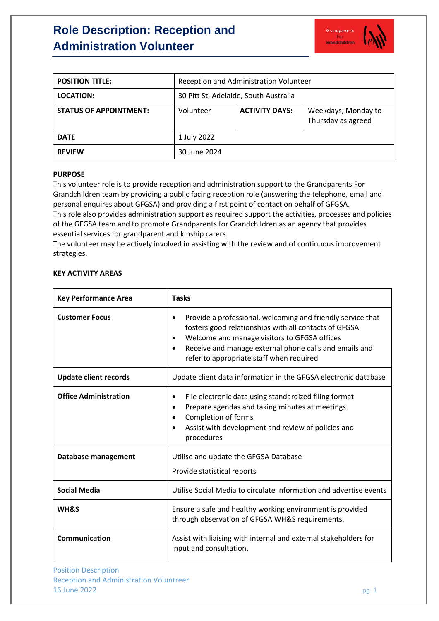# **Role Description: Reception and Administration Volunteer**



| <b>POSITION TITLE:</b>        | Reception and Administration Volunteer |                       |                                           |
|-------------------------------|----------------------------------------|-----------------------|-------------------------------------------|
| <b>LOCATION:</b>              | 30 Pitt St, Adelaide, South Australia  |                       |                                           |
| <b>STATUS OF APPOINTMENT:</b> | Volunteer                              | <b>ACTIVITY DAYS:</b> | Weekdays, Monday to<br>Thursday as agreed |
| <b>DATE</b>                   | 1 July 2022                            |                       |                                           |
| <b>REVIEW</b>                 | 30 June 2024                           |                       |                                           |

#### **PURPOSE**

This volunteer role is to provide reception and administration support to the Grandparents For Grandchildren team by providing a public facing reception role (answering the telephone, email and personal enquires about GFGSA) and providing a first point of contact on behalf of GFGSA. This role also provides administration support as required support the activities, processes and policies of the GFGSA team and to promote Grandparents for Grandchildren as an agency that provides essential services for grandparent and kinship carers.

The volunteer may be actively involved in assisting with the review and of continuous improvement strategies.

### **KEY ACTIVITY AREAS**

| <b>Key Performance Area</b>  | <b>Tasks</b>                                                                                                                                                                                                                                                                                          |  |
|------------------------------|-------------------------------------------------------------------------------------------------------------------------------------------------------------------------------------------------------------------------------------------------------------------------------------------------------|--|
| <b>Customer Focus</b>        | Provide a professional, welcoming and friendly service that<br>$\bullet$<br>fosters good relationships with all contacts of GFGSA.<br>Welcome and manage visitors to GFGSA offices<br>Receive and manage external phone calls and emails and<br>$\bullet$<br>refer to appropriate staff when required |  |
| <b>Update client records</b> | Update client data information in the GFGSA electronic database                                                                                                                                                                                                                                       |  |
| <b>Office Administration</b> | File electronic data using standardized filing format<br>$\bullet$<br>Prepare agendas and taking minutes at meetings<br>$\bullet$<br>Completion of forms<br>Assist with development and review of policies and<br>procedures                                                                          |  |
| Database management          | Utilise and update the GFGSA Database<br>Provide statistical reports                                                                                                                                                                                                                                  |  |
| <b>Social Media</b>          | Utilise Social Media to circulate information and advertise events                                                                                                                                                                                                                                    |  |
| WH&S                         | Ensure a safe and healthy working environment is provided<br>through observation of GFGSA WH&S requirements.                                                                                                                                                                                          |  |
| <b>Communication</b>         | Assist with liaising with internal and external stakeholders for<br>input and consultation.                                                                                                                                                                                                           |  |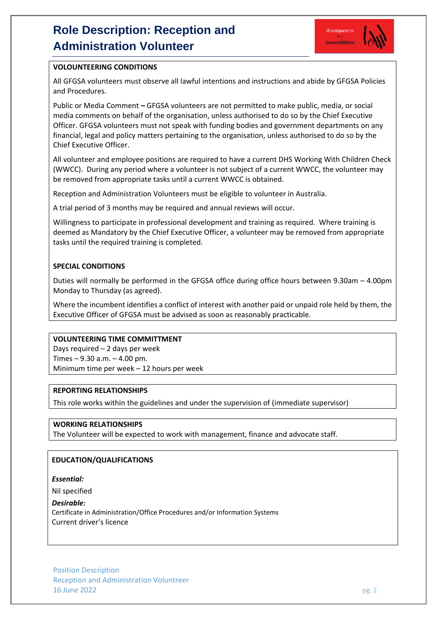# **Role Description: Reception and Administration Volunteer**



## **VOLOUNTEERING CONDITIONS**

All GFGSA volunteers must observe all lawful intentions and instructions and abide by GFGSA Policies and Procedures.

Public or Media Comment **–** GFGSA volunteers are not permitted to make public, media, or social media comments on behalf of the organisation, unless authorised to do so by the Chief Executive Officer. GFGSA volunteers must not speak with funding bodies and government departments on any financial, legal and policy matters pertaining to the organisation, unless authorised to do so by the Chief Executive Officer.

All volunteer and employee positions are required to have a current DHS Working With Children Check (WWCC). During any period where a volunteer is not subject of a current WWCC, the volunteer may be removed from appropriate tasks until a current WWCC is obtained.

Reception and Administration Volunteers must be eligible to volunteer in Australia.

A trial period of 3 months may be required and annual reviews will occur.

Willingness to participate in professional development and training as required. Where training is deemed as Mandatory by the Chief Executive Officer, a volunteer may be removed from appropriate tasks until the required training is completed.

## **SPECIAL CONDITIONS**

Duties will normally be performed in the GFGSA office during office hours between 9.30am – 4.00pm Monday to Thursday (as agreed).

Where the incumbent identifies a conflict of interest with another paid or unpaid role held by them, the Executive Officer of GFGSA must be advised as soon as reasonably practicable.

#### **VOLUNTEERING TIME COMMITTMENT**

Days required – 2 days per week Times – 9.30 a.m. – 4.00 pm. Minimum time per week – 12 hours per week

#### **REPORTING RELATIONSHIPS**

This role works within the guidelines and under the supervision of (immediate supervisor)

## **WORKING RELATIONSHIPS**

The Volunteer will be expected to work with management, finance and advocate staff.

## **EDUCATION/QUALIFICATIONS**

*Essential:* 

Nil specified

*Desirable:*  Certificate in Administration/Office Procedures and/or Information Systems Current driver's licence